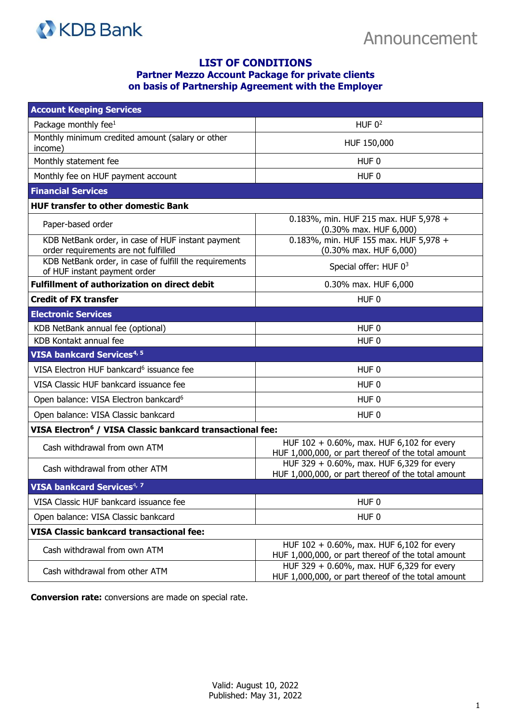

## **LIST OF CONDITIONS Partner Mezzo Account Package for private clients on basis of Partnership Agreement with the Employer**

| <b>Account Keeping Services</b>                                                           |                                                                                                 |
|-------------------------------------------------------------------------------------------|-------------------------------------------------------------------------------------------------|
| Package monthly fee <sup>1</sup>                                                          | HUF $02$                                                                                        |
| Monthly minimum credited amount (salary or other<br>income)                               | HUF 150,000                                                                                     |
| Monthly statement fee                                                                     | HUF <sub>0</sub>                                                                                |
| Monthly fee on HUF payment account                                                        | HUF <sub>0</sub>                                                                                |
| <b>Financial Services</b>                                                                 |                                                                                                 |
| <b>HUF transfer to other domestic Bank</b>                                                |                                                                                                 |
| Paper-based order                                                                         | 0.183%, min. HUF 215 max. HUF 5,978 +<br>(0.30% max. HUF 6,000)                                 |
| KDB NetBank order, in case of HUF instant payment<br>order requirements are not fulfilled | 0.183%, min. HUF 155 max. HUF 5,978 +<br>(0.30% max. HUF 6,000)                                 |
| KDB NetBank order, in case of fulfill the requirements<br>of HUF instant payment order    | Special offer: HUF $0^3$                                                                        |
| <b>Fulfillment of authorization on direct debit</b>                                       | 0.30% max. HUF 6,000                                                                            |
| <b>Credit of FX transfer</b>                                                              | HUF <sub>0</sub>                                                                                |
| <b>Electronic Services</b>                                                                |                                                                                                 |
| KDB NetBank annual fee (optional)                                                         | HUF <sub>0</sub>                                                                                |
| KDB Kontakt annual fee                                                                    | HUF <sub>0</sub>                                                                                |
| <b>VISA bankcard Services4, 5</b>                                                         |                                                                                                 |
| VISA Electron HUF bankcard <sup>6</sup> issuance fee                                      | HUF <sub>0</sub>                                                                                |
| VISA Classic HUF bankcard issuance fee                                                    | HUF <sub>0</sub>                                                                                |
| Open balance: VISA Electron bankcard <sup>6</sup>                                         | HUF <sub>0</sub>                                                                                |
| Open balance: VISA Classic bankcard                                                       | HUF <sub>0</sub>                                                                                |
| VISA Electron <sup>6</sup> / VISA Classic bankcard transactional fee:                     |                                                                                                 |
| Cash withdrawal from own ATM                                                              | HUF 102 + 0.60%, max. HUF 6,102 for every<br>HUF 1,000,000, or part thereof of the total amount |
| Cash withdrawal from other ATM                                                            | HUF 329 + 0.60%, max. HUF 6,329 for every<br>HUF 1,000,000, or part thereof of the total amount |
| VISA bankcard Services <sup>4, 7</sup>                                                    |                                                                                                 |
| VISA Classic HUF bankcard issuance fee                                                    | HUF <sub>0</sub>                                                                                |
| Open balance: VISA Classic bankcard                                                       | HUF <sub>0</sub>                                                                                |
| <b>VISA Classic bankcard transactional fee:</b>                                           |                                                                                                 |
| Cash withdrawal from own ATM                                                              | HUF 102 + 0.60%, max. HUF 6,102 for every<br>HUF 1,000,000, or part thereof of the total amount |
| Cash withdrawal from other ATM                                                            | HUF 329 + 0.60%, max. HUF 6,329 for every<br>HUF 1,000,000, or part thereof of the total amount |

**Conversion rate:** conversions are made on special rate.